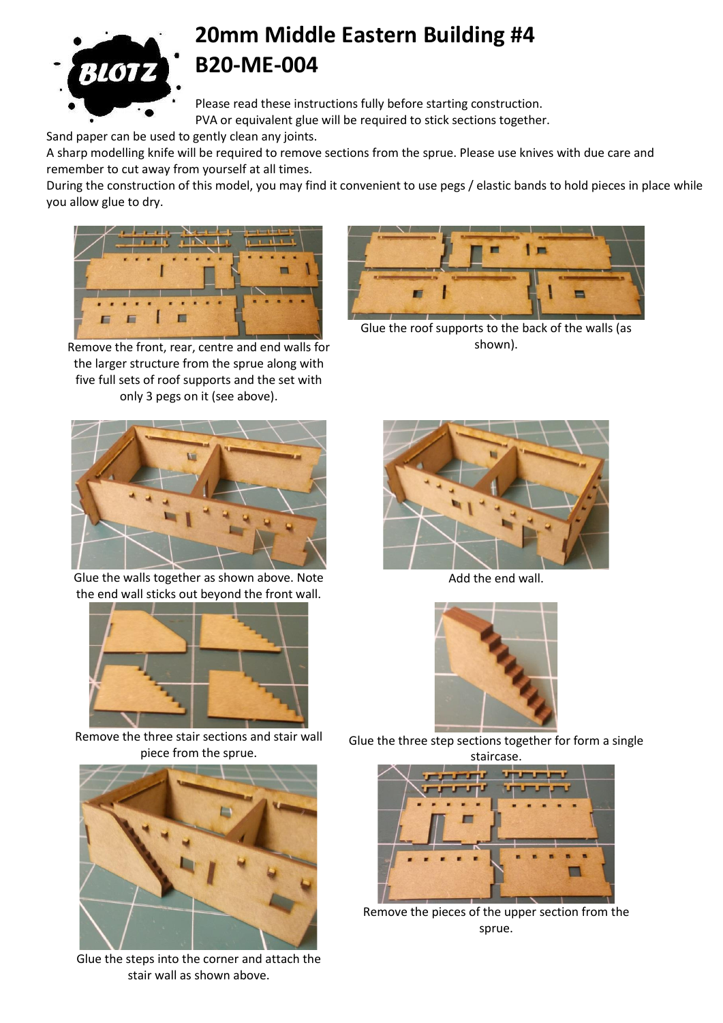

## **20mm Middle Eastern Building #4 B20-ME-004**

Please read these instructions fully before starting construction. PVA or equivalent glue will be required to stick sections together.

Sand paper can be used to gently clean any joints.

A sharp modelling knife will be required to remove sections from the sprue. Please use knives with due care and remember to cut away from yourself at all times.

During the construction of this model, you may find it convenient to use pegs / elastic bands to hold pieces in place while you allow glue to dry.



Remove the front, rear, centre and end walls for the larger structure from the sprue along with five full sets of roof supports and the set with only 3 pegs on it (see above).



Glue the roof supports to the back of the walls (as shown).



Glue the walls together as shown above. Note the end wall sticks out beyond the front wall.



Remove the three stair sections and stair wall piece from the sprue.



Glue the steps into the corner and attach the stair wall as shown above.



Add the end wall.



Glue the three step sections together for form a single



Remove the pieces of the upper section from the sprue.